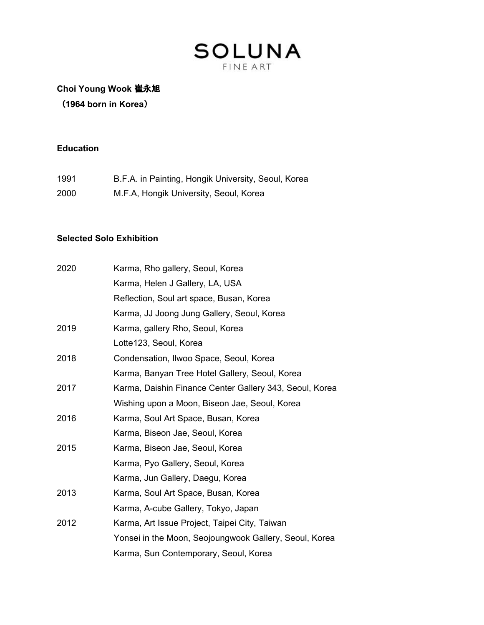## **Choi Young Wook** 崔永旭

(**1964 born in Korea**)

### **Education**

| 1991 | B.F.A. in Painting, Hongik University, Seoul, Korea |
|------|-----------------------------------------------------|
| 2000 | M.F.A, Hongik University, Seoul, Korea              |

#### **Selected Solo Exhibition**

| 2020 | Karma, Rho gallery, Seoul, Korea                        |
|------|---------------------------------------------------------|
|      | Karma, Helen J Gallery, LA, USA                         |
|      | Reflection, Soul art space, Busan, Korea                |
|      | Karma, JJ Joong Jung Gallery, Seoul, Korea              |
| 2019 | Karma, gallery Rho, Seoul, Korea                        |
|      | Lotte123, Seoul, Korea                                  |
| 2018 | Condensation, Ilwoo Space, Seoul, Korea                 |
|      | Karma, Banyan Tree Hotel Gallery, Seoul, Korea          |
| 2017 | Karma, Daishin Finance Center Gallery 343, Seoul, Korea |
|      | Wishing upon a Moon, Biseon Jae, Seoul, Korea           |
| 2016 | Karma, Soul Art Space, Busan, Korea                     |
|      | Karma, Biseon Jae, Seoul, Korea                         |
| 2015 | Karma, Biseon Jae, Seoul, Korea                         |
|      | Karma, Pyo Gallery, Seoul, Korea                        |
|      | Karma, Jun Gallery, Daegu, Korea                        |
| 2013 | Karma, Soul Art Space, Busan, Korea                     |
|      | Karma, A-cube Gallery, Tokyo, Japan                     |
| 2012 | Karma, Art Issue Project, Taipei City, Taiwan           |
|      | Yonsei in the Moon, Seojoungwook Gallery, Seoul, Korea  |
|      | Karma, Sun Contemporary, Seoul, Korea                   |
|      |                                                         |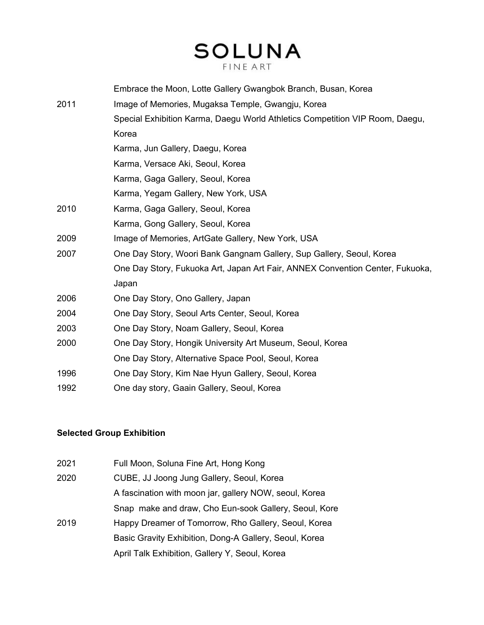# **SOLUNA**

|      | Embrace the Moon, Lotte Gallery Gwangbok Branch, Busan, Korea                 |
|------|-------------------------------------------------------------------------------|
| 2011 | Image of Memories, Mugaksa Temple, Gwangju, Korea                             |
|      | Special Exhibition Karma, Daegu World Athletics Competition VIP Room, Daegu,  |
|      | Korea                                                                         |
|      | Karma, Jun Gallery, Daegu, Korea                                              |
|      | Karma, Versace Aki, Seoul, Korea                                              |
|      | Karma, Gaga Gallery, Seoul, Korea                                             |
|      | Karma, Yegam Gallery, New York, USA                                           |
| 2010 | Karma, Gaga Gallery, Seoul, Korea                                             |
|      | Karma, Gong Gallery, Seoul, Korea                                             |
| 2009 | Image of Memories, ArtGate Gallery, New York, USA                             |
| 2007 | One Day Story, Woori Bank Gangnam Gallery, Sup Gallery, Seoul, Korea          |
|      | One Day Story, Fukuoka Art, Japan Art Fair, ANNEX Convention Center, Fukuoka, |
|      | Japan                                                                         |
| 2006 | One Day Story, Ono Gallery, Japan                                             |
| 2004 | One Day Story, Seoul Arts Center, Seoul, Korea                                |
| 2003 | One Day Story, Noam Gallery, Seoul, Korea                                     |
| 2000 | One Day Story, Hongik University Art Museum, Seoul, Korea                     |
|      | One Day Story, Alternative Space Pool, Seoul, Korea                           |
| 1996 | One Day Story, Kim Nae Hyun Gallery, Seoul, Korea                             |
| 1992 | One day story, Gaain Gallery, Seoul, Korea                                    |
|      |                                                                               |

### **Selected Group Exhibition**

| 2021 | Full Moon, Soluna Fine Art, Hong Kong                  |
|------|--------------------------------------------------------|
| 2020 | CUBE, JJ Joong Jung Gallery, Seoul, Korea              |
|      | A fascination with moon jar, gallery NOW, seoul, Korea |
|      | Snap make and draw, Cho Eun-sook Gallery, Seoul, Kore  |
| 2019 | Happy Dreamer of Tomorrow, Rho Gallery, Seoul, Korea   |
|      | Basic Gravity Exhibition, Dong-A Gallery, Seoul, Korea |
|      | April Talk Exhibition, Gallery Y, Seoul, Korea         |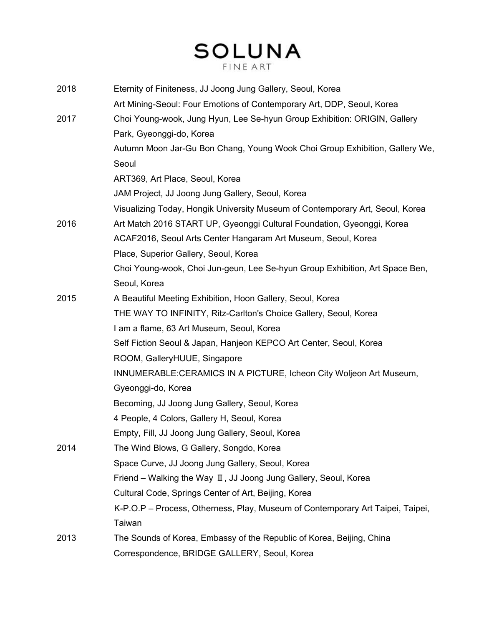# **SOLUNA**

| 2018 | Eternity of Finiteness, JJ Joong Jung Gallery, Seoul, Korea                    |
|------|--------------------------------------------------------------------------------|
|      | Art Mining-Seoul: Four Emotions of Contemporary Art, DDP, Seoul, Korea         |
| 2017 | Choi Young-wook, Jung Hyun, Lee Se-hyun Group Exhibition: ORIGIN, Gallery      |
|      | Park, Gyeonggi-do, Korea                                                       |
|      | Autumn Moon Jar-Gu Bon Chang, Young Wook Choi Group Exhibition, Gallery We,    |
|      | Seoul                                                                          |
|      | ART369, Art Place, Seoul, Korea                                                |
|      | JAM Project, JJ Joong Jung Gallery, Seoul, Korea                               |
|      | Visualizing Today, Hongik University Museum of Contemporary Art, Seoul, Korea  |
| 2016 | Art Match 2016 START UP, Gyeonggi Cultural Foundation, Gyeonggi, Korea         |
|      | ACAF2016, Seoul Arts Center Hangaram Art Museum, Seoul, Korea                  |
|      | Place, Superior Gallery, Seoul, Korea                                          |
|      | Choi Young-wook, Choi Jun-geun, Lee Se-hyun Group Exhibition, Art Space Ben,   |
|      | Seoul, Korea                                                                   |
| 2015 | A Beautiful Meeting Exhibition, Hoon Gallery, Seoul, Korea                     |
|      | THE WAY TO INFINITY, Ritz-Carlton's Choice Gallery, Seoul, Korea               |
|      | I am a flame, 63 Art Museum, Seoul, Korea                                      |
|      | Self Fiction Seoul & Japan, Hanjeon KEPCO Art Center, Seoul, Korea             |
|      | ROOM, GalleryHUUE, Singapore                                                   |
|      | INNUMERABLE:CERAMICS IN A PICTURE, Icheon City Woljeon Art Museum,             |
|      | Gyeonggi-do, Korea                                                             |
|      | Becoming, JJ Joong Jung Gallery, Seoul, Korea                                  |
|      | 4 People, 4 Colors, Gallery H, Seoul, Korea                                    |
|      | Empty, Fill, JJ Joong Jung Gallery, Seoul, Korea                               |
| 2014 | The Wind Blows, G Gallery, Songdo, Korea                                       |
|      | Space Curve, JJ Joong Jung Gallery, Seoul, Korea                               |
|      | Friend – Walking the Way $\mathbb I$ , JJ Joong Jung Gallery, Seoul, Korea     |
|      | Cultural Code, Springs Center of Art, Beijing, Korea                           |
|      | K-P.O.P - Process, Otherness, Play, Museum of Contemporary Art Taipei, Taipei, |
|      | Taiwan                                                                         |
| 2013 | The Sounds of Korea, Embassy of the Republic of Korea, Beijing, China          |
|      | Correspondence, BRIDGE GALLERY, Seoul, Korea                                   |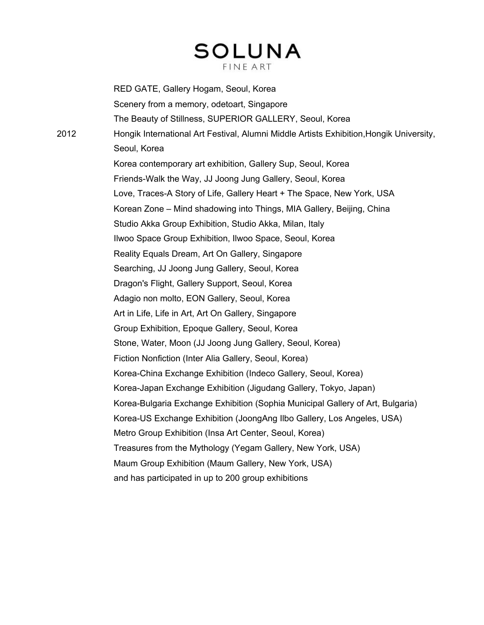RED GATE, Gallery Hogam, Seoul, Korea Scenery from a memory, odetoart, Singapore The Beauty of Stillness, SUPERIOR GALLERY, Seoul, Korea 2012 Hongik International Art Festival, Alumni Middle Artists Exhibition,Hongik University, Seoul, Korea Korea contemporary art exhibition, Gallery Sup, Seoul, Korea Friends-Walk the Way, JJ Joong Jung Gallery, Seoul, Korea Love, Traces-A Story of Life, Gallery Heart + The Space, New York, USA Korean Zone – Mind shadowing into Things, MIA Gallery, Beijing, China Studio Akka Group Exhibition, Studio Akka, Milan, Italy Ilwoo Space Group Exhibition, Ilwoo Space, Seoul, Korea Reality Equals Dream, Art On Gallery, Singapore Searching, JJ Joong Jung Gallery, Seoul, Korea Dragon's Flight, Gallery Support, Seoul, Korea Adagio non molto, EON Gallery, Seoul, Korea Art in Life, Life in Art, Art On Gallery, Singapore Group Exhibition, Epoque Gallery, Seoul, Korea Stone, Water, Moon (JJ Joong Jung Gallery, Seoul, Korea) Fiction Nonfiction (Inter Alia Gallery, Seoul, Korea) Korea-China Exchange Exhibition (Indeco Gallery, Seoul, Korea) Korea-Japan Exchange Exhibition (Jigudang Gallery, Tokyo, Japan) Korea-Bulgaria Exchange Exhibition (Sophia Municipal Gallery of Art, Bulgaria) Korea-US Exchange Exhibition (JoongAng Ilbo Gallery, Los Angeles, USA) Metro Group Exhibition (Insa Art Center, Seoul, Korea) Treasures from the Mythology (Yegam Gallery, New York, USA) Maum Group Exhibition (Maum Gallery, New York, USA) and has participated in up to 200 group exhibitions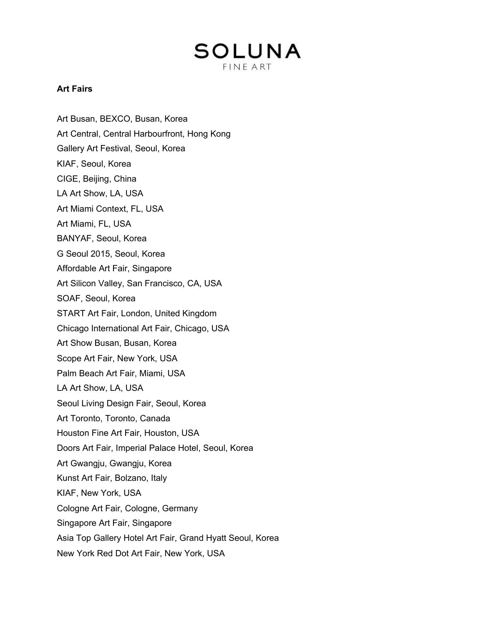#### **Art Fairs**

Art Busan, BEXCO, Busan, Korea Art Central, Central Harbourfront, Hong Kong Gallery Art Festival, Seoul, Korea KIAF, Seoul, Korea CIGE, Beijing, China LA Art Show, LA, USA Art Miami Context, FL, USA Art Miami, FL, USA BANYAF, Seoul, Korea G Seoul 2015, Seoul, Korea Affordable Art Fair, Singapore Art Silicon Valley, San Francisco, CA, USA SOAF, Seoul, Korea START Art Fair, London, United Kingdom Chicago International Art Fair, Chicago, USA Art Show Busan, Busan, Korea Scope Art Fair, New York, USA Palm Beach Art Fair, Miami, USA LA Art Show, LA, USA Seoul Living Design Fair, Seoul, Korea Art Toronto, Toronto, Canada Houston Fine Art Fair, Houston, USA Doors Art Fair, Imperial Palace Hotel, Seoul, Korea Art Gwangju, Gwangju, Korea Kunst Art Fair, Bolzano, Italy KIAF, New York, USA Cologne Art Fair, Cologne, Germany Singapore Art Fair, Singapore Asia Top Gallery Hotel Art Fair, Grand Hyatt Seoul, Korea New York Red Dot Art Fair, New York, USA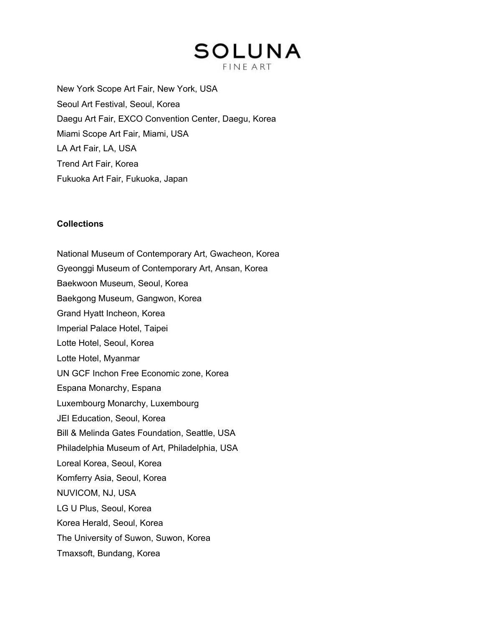New York Scope Art Fair, New York, USA Seoul Art Festival, Seoul, Korea Daegu Art Fair, EXCO Convention Center, Daegu, Korea Miami Scope Art Fair, Miami, USA LA Art Fair, LA, USA Trend Art Fair, Korea Fukuoka Art Fair, Fukuoka, Japan

#### **Collections**

National Museum of Contemporary Art, Gwacheon, Korea Gyeonggi Museum of Contemporary Art, Ansan, Korea Baekwoon Museum, Seoul, Korea Baekgong Museum, Gangwon, Korea Grand Hyatt Incheon, Korea Imperial Palace Hotel, Taipei Lotte Hotel, Seoul, Korea Lotte Hotel, Myanmar UN GCF Inchon Free Economic zone, Korea Espana Monarchy, Espana Luxembourg Monarchy, Luxembourg JEI Education, Seoul, Korea Bill & Melinda Gates Foundation, Seattle, USA Philadelphia Museum of Art, Philadelphia, USA Loreal Korea, Seoul, Korea Komferry Asia, Seoul, Korea NUVICOM, NJ, USA LG U Plus, Seoul, Korea Korea Herald, Seoul, Korea The University of Suwon, Suwon, Korea Tmaxsoft, Bundang, Korea